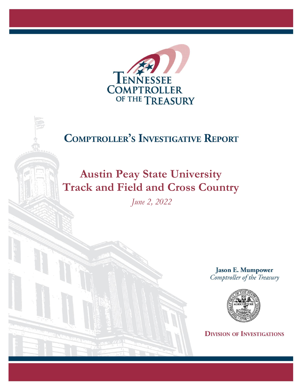

## **COMPTROLLER'S INVESTIGATIVE REPORT**

# **Austin Peay State University Track and Field and Cross Country**

*June 2, 2022*

**Jason E. Mumpower** Comptroller of the Treasury



**DIVISION OF INVESTIGATIONS**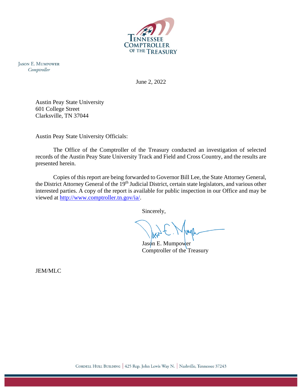

**JASON E. MUMPOWER** Comptroller

June 2, 2022

Austin Peay State University 601 College Street Clarksville, TN 37044

Austin Peay State University Officials:

The Office of the Comptroller of the Treasury conducted an investigation of selected records of the Austin Peay State University Track and Field and Cross Country, and the results are presented herein.

Copies of this report are being forwarded to Governor Bill Lee, the State Attorney General, the District Attorney General of the 19<sup>th</sup> Judicial District, certain state legislators, and various other interested parties. A copy of the report is available for public inspection in our Office and may be viewed at [http://www.comptroller.tn.gov/ia/.](http://www.comptroller.tn.gov/ia/)

Sincerely,

Jason E. Mumpower Comptroller of the Treasury

JEM/MLC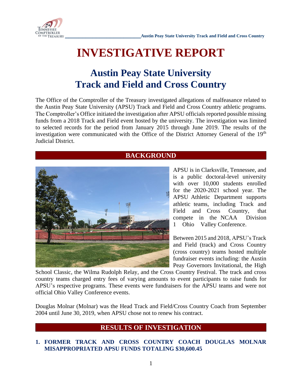

## **INVESTIGATIVE REPORT**

## **Austin Peay State University Track and Field and Cross Country**

The Office of the Comptroller of the Treasury investigated allegations of malfeasance related to the Austin Peay State University (APSU) Track and Field and Cross Country athletic programs. The Comptroller's Office initiated the investigation after APSU officials reported possible missing funds from a 2018 Track and Field event hosted by the university. The investigation was limited to selected records for the period from January 2015 through June 2019. The results of the investigation were communicated with the Office of the District Attorney General of the 19<sup>th</sup> Judicial District.

### **BACKGROUND**



APSU is in Clarksville, Tennessee, and is a public doctoral-level university with over 10,000 students enrolled for the 2020-2021 school year. The APSU Athletic Department supports athletic teams, including Track and Field and Cross Country, that compete in the NCAA Division 1 Ohio Valley Conference.

Between 2015 and 2018, APSU's Track and Field (track) and Cross Country (cross country) teams hosted multiple fundraiser events including: the Austin Peay Governors Invitational, the High

School Classic, the Wilma Rudolph Relay, and the Cross Country Festival. The track and cross country teams charged entry fees of varying amounts to event participants to raise funds for APSU's respective programs. These events were fundraisers for the APSU teams and were not official Ohio Valley Conference events.

Douglas Molnar (Molnar) was the Head Track and Field/Cross Country Coach from September 2004 until June 30, 2019, when APSU chose not to renew his contract.

### **RESULTS OF INVESTIGATION**

#### **1. FORMER TRACK AND CROSS COUNTRY COACH DOUGLAS MOLNAR MISAPPROPRIATED APSU FUNDS TOTALING \$30,600.45**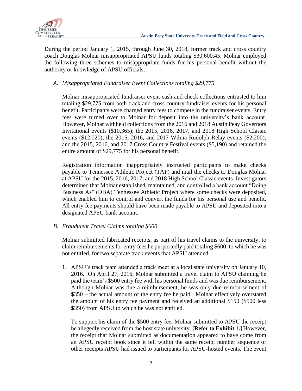

During the period January 1, 2015, through June 30, 2018, former track and cross country coach Douglas Molnar misappropriated APSU funds totaling \$30,600.45. Molnar employed the following three schemes to misappropriate funds for his personal benefit without the authority or knowledge of APSU officials:

#### *A. Misappropriated Fundraiser Event Collections totaling \$29,775*

Molnar misappropriated fundraiser event cash and check collections entrusted to him totaling \$29,775 from both track and cross country fundraiser events for his personal benefit. Participants were charged entry fees to compete in the fundraiser events. Entry fees were turned over to Molnar for deposit into the university's bank account. However, Molnar withheld collections from the 2016 and 2018 Austin Peay Governors Invitational events (\$10,365); the 2015, 2016, 2017, and 2018 High School Classic events (\$12,020); the 2015, 2016, and 2017 Wilma Rudolph Relay events (\$2,200); and the 2015, 2016, and 2017 Cross Country Festival events (\$5,190) and retained the entire amount of \$29,775 for his personal benefit.

Registration information inappropriately instructed participants to make checks payable to Tennessee Athletic Project (TAP) and mail the checks to Douglas Molnar at APSU for the 2015, 2016, 2017, and 2018 High School Classic events. Investigators determined that Molnar established, maintained, and controlled a bank account "Doing Business As" (DBA) Tennessee Athletic Project where some checks were deposited, which enabled him to control and convert the funds for his personal use and benefit. All entry fee payments should have been made payable to APSU and deposited into a designated APSU bank account.

#### *B. Fraudulent Travel Claims totaling \$600*

Molnar submitted fabricated receipts, as part of his travel claims to the university, to claim reimbursements for entry fees he purportedly paid totaling \$600, to which he was not entitled, for two separate track events that APSU attended.

1. APSU's track team attended a track meet at a local state university on January 10, 2016. On April 27, 2016, Molnar submitted a travel claim to APSU claiming he paid the team's \$500 entry fee with his personal funds and was due reimbursement. Although Molnar was due a reimbursement, he was only due reimbursement of \$350 – the actual amount of the entry fee he paid. Molnar effectively overstated the amount of his entry fee payment and received an additional \$150 (\$500 less \$350) from APSU to which he was not entitled.

To support his claim of the \$500 entry fee, Molnar submitted to APSU the receipt he allegedly received from the host state university. **[Refer to Exhibit 1.]** However, the receipt that Molnar submitted as documentation appeared to have come from an APSU receipt book since it fell within the same receipt number sequence of other receipts APSU had issued to participants for APSU-hosted events. The event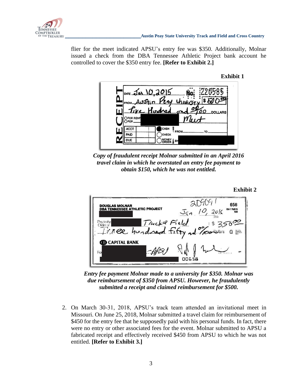

flier for the meet indicated APSU's entry fee was \$350. Additionally, Molnar issued a check from the DBA Tennessee Athletic Project bank account he controlled to cover the \$350 entry fee. **[Refer to Exhibit 2.]**



**Exhibit 2**



*Copy of fraudulent receipt Molnar submitted in an April 2016 travel claim in which he overstated an entry fee payment to obtain \$150, which he was not entitled.*

| <b>DOUGLAS MOLNAR</b><br><b>DBA TENNESSEE ATHLETIC PROJECT</b>             | 658<br>63-1176/670<br>$J_{91}$ 10, 2016<br>560 |
|----------------------------------------------------------------------------|------------------------------------------------|
| Trucke Field<br>Pay to the<br>Tringe hundred fifty ad powers a<br>Order of | So crit,<br>Features<br>Cora is cr             |
| <b>B</b> CAPITAL BANK<br>For                                               | 00658                                          |

*Entry fee payment Molnar made to a university for \$350. Molnar was due reimbursement of \$350 from APSU. However, he fraudulently submitted a receipt and claimed reimbursement for \$500.*

2. On March 30-31, 2018, APSU's track team attended an invitational meet in Missouri. On June 25, 2018, Molnar submitted a travel claim for reimbursement of \$450 for the entry fee that he supposedly paid with his personal funds. In fact, there were no entry or other associated fees for the event. Molnar submitted to APSU a fabricated receipt and effectively received \$450 from APSU to which he was not entitled. **[Refer to Exhibit 3.]**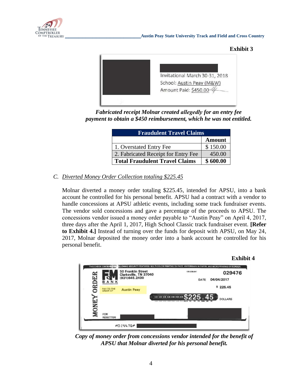





*Fabricated receipt Molnar created allegedly for an entry fee payment to obtain a \$450 reimbursement, which he was not entitled.* 

| <b>Fraudulent Travel Claims</b>       |               |  |
|---------------------------------------|---------------|--|
|                                       | <b>Amount</b> |  |
| 1. Overstated Entry Fee               | \$150.00      |  |
| 2. Fabricated Receipt for Entry Fee   | 450.00        |  |
| <b>Total Fraudulent Travel Claims</b> | \$600.00      |  |

### *C. Diverted Money Order Collection totaling \$225.45*

Molnar diverted a money order totaling \$225.45, intended for APSU, into a bank account he controlled for his personal benefit. APSU had a contract with a vendor to handle concessions at APSU athletic events, including some track fundraiser events. The vendor sold concessions and gave a percentage of the proceeds to APSU. The concessions vendor issued a money order payable to "Austin Peay" on April 4, 2017, three days after the April 1, 2017, High School Classic track fundraiser event. **[Refer to Exhibit 4.]** Instead of turning over the funds for deposit with APSU, on May 24, 2017, Molnar deposited the money order into a bank account he controlled for his personal benefit.



*Copy of money order from concessions vendor intended for the benefit of APSU that Molnar diverted for his personal benefit.*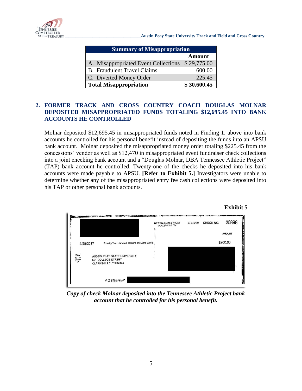

**\_\_\_\_\_\_\_\_\_\_\_\_\_\_\_\_\_\_\_\_\_\_Austin Peay State University Track and Field and Cross Country**

| <b>Summary of Misappropriation</b>   |               |  |
|--------------------------------------|---------------|--|
|                                      | <b>Amount</b> |  |
| A. Misappropriated Event Collections | \$29,775.00   |  |
| <b>B.</b> Fraudulent Travel Claims   | 600.00        |  |
| C. Diverted Money Order              | 225.45        |  |
| <b>Total Misappropriation</b>        | \$30,600.45   |  |

#### **2. FORMER TRACK AND CROSS COUNTRY COACH DOUGLAS MOLNAR DEPOSITED MISAPPROPRIATED FUNDS TOTALING \$12,695.45 INTO BANK ACCOUNTS HE CONTROLLED**

Molnar deposited \$12,695.45 in misappropriated funds noted in Finding 1. above into bank accounts he controlled for his personal benefit instead of depositing the funds into an APSU bank account. Molnar deposited the misappropriated money order totaling \$225.45 from the concessions' vendor as well as \$12,470 in misappropriated event fundraiser check collections into a joint checking bank account and a "Douglas Molnar, DBA Tennessee Athletic Project" (TAP) bank account he controlled. Twenty-one of the checks he deposited into his bank accounts were made payable to APSU. **[Refer to Exhibit 5.]** Investigators were unable to determine whether any of the misappropriated entry fee cash collections were deposited into his TAP or other personal bank accounts.



*Copy of check Molnar deposited into the Tennessee Athletic Project bank account that he controlled for his personal benefit.*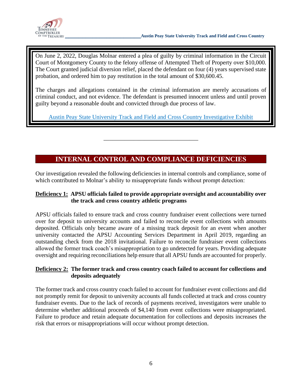

On June 2, 2022, Douglas Molnar entered a plea of guilty by criminal information in the Circuit Court of Montgomery County to the felony offense of Attempted Theft of Property over \$10,000. The Court granted judicial diversion relief, placed the defendant on four (4) years supervised state probation, and ordered him to pay restitution in the total amount of \$30,600.45.

The charges and allegations contained in the criminal information are merely accusations of criminal conduct, and not evidence. The defendant is presumed innocent unless and until proven guilty beyond a reasonable doubt and convicted through due process of law.

[Austin Peay State University Track and Field and Cross Country Investigative Exhibit](https://comptroller.tn.gov/content/dam/cot/ia/advanced-search/2022/college-universities/APSUTrackandFieldandCrossCountryExhibit.pdf)

## **INTERNAL CONTROL AND COMPLIANCE DEFICIENCIES**

\_\_\_\_\_\_\_\_\_\_\_\_\_\_\_\_\_\_\_\_\_\_\_\_\_\_\_\_\_\_\_\_

Our investigation revealed the following deficiencies in internal controls and compliance, some of which contributed to Molnar's ability to misappropriate funds without prompt detection:

#### **Deficiency 1: APSU officials failed to provide appropriate oversight and accountability over the track and cross country athletic programs**

APSU officials failed to ensure track and cross country fundraiser event collections were turned over for deposit to university accounts and failed to reconcile event collections with amounts deposited. Officials only became aware of a missing track deposit for an event when another university contacted the APSU Accounting Services Department in April 2019, regarding an outstanding check from the 2018 invitational. Failure to reconcile fundraiser event collections allowed the former track coach's misappropriation to go undetected for years. Providing adequate oversight and requiring reconciliations help ensure that all APSU funds are accounted for properly.

#### **Deficiency 2: The former track and cross country coach failed to account for collections and deposits adequately**

The former track and cross country coach failed to account for fundraiser event collections and did not promptly remit for deposit to university accounts all funds collected at track and cross country fundraiser events. Due to the lack of records of payments received, investigators were unable to determine whether additional proceeds of \$4,140 from event collections were misappropriated. Failure to produce and retain adequate documentation for collections and deposits increases the risk that errors or misappropriations will occur without prompt detection.